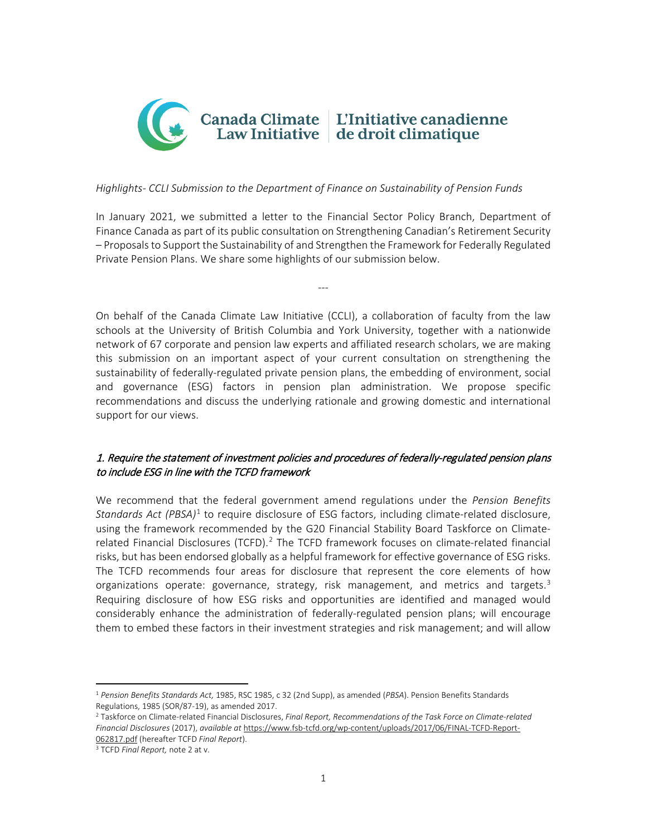

### *Highlights- CCLI Submission to the Department of Finance on Sustainability of Pension Funds*

In January 2021, we submitted a letter to the Financial Sector Policy Branch, Department of Finance Canada as part of its public consultation on Strengthening Canadian's Retirement Security – Proposals to Support the Sustainability of and Strengthen the Framework for Federally Regulated Private Pension Plans. We share some highlights of our submission below.

---

On behalf of the Canada Climate Law Initiative (CCLI), a collaboration of faculty from the law schools at the University of British Columbia and York University, together with a nationwide network of 67 corporate and pension law experts and affiliated research scholars, we are making this submission on an important aspect of your current consultation on strengthening the sustainability of federally-regulated private pension plans, the embedding of environment, social and governance (ESG) factors in pension plan administration. We propose specific recommendations and discuss the underlying rationale and growing domestic and international support for our views.

# 1. Require the statement of investment policies and procedures of federally-regulated pension plans to include ESG in line with the TCFD framework

We recommend that the federal government amend regulations under the *Pension Benefits Standards Act (PBSA)*[1](#page-0-0) to require disclosure of ESG factors, including climate-related disclosure, using the framework recommended by the G20 Financial Stability Board Taskforce on Climate-related Financial Disclosures (TCFD).<sup>[2](#page-0-1)</sup> The TCFD framework focuses on climate-related financial risks, but has been endorsed globally as a helpful framework for effective governance of ESG risks. The TCFD recommends four areas for disclosure that represent the core elements of how organizations operate: governance, strategy, risk management, and metrics and targets. $3$ Requiring disclosure of how ESG risks and opportunities are identified and managed would considerably enhance the administration of federally-regulated pension plans; will encourage them to embed these factors in their investment strategies and risk management; and will allow

l

<span id="page-0-0"></span><sup>1</sup> *Pension Benefits Standards Act,* 1985, RSC 1985, c 32 (2nd Supp), as amended (*PBSA*). Pension Benefits Standards Regulations, 1985 (SOR/87-19), as amended 2017.

<span id="page-0-1"></span><sup>2</sup> Taskforce on Climate-related Financial Disclosures, *Final Report, Recommendations of the Task Force on Climate-related Financial Disclosures* (2017), *available at* [https://www.fsb-tcfd.org/wp-content/uploads/2017/06/FINAL-TCFD-Report-](https://www.fsb-tcfd.org/wp-content/uploads/2017/06/FINAL-TCFD-Report-062817.pdf)[062817.pdf](https://www.fsb-tcfd.org/wp-content/uploads/2017/06/FINAL-TCFD-Report-062817.pdf) (hereafter TCFD *Final Report*).

<span id="page-0-2"></span><sup>3</sup> TCFD *Final Report,* note 2 at v.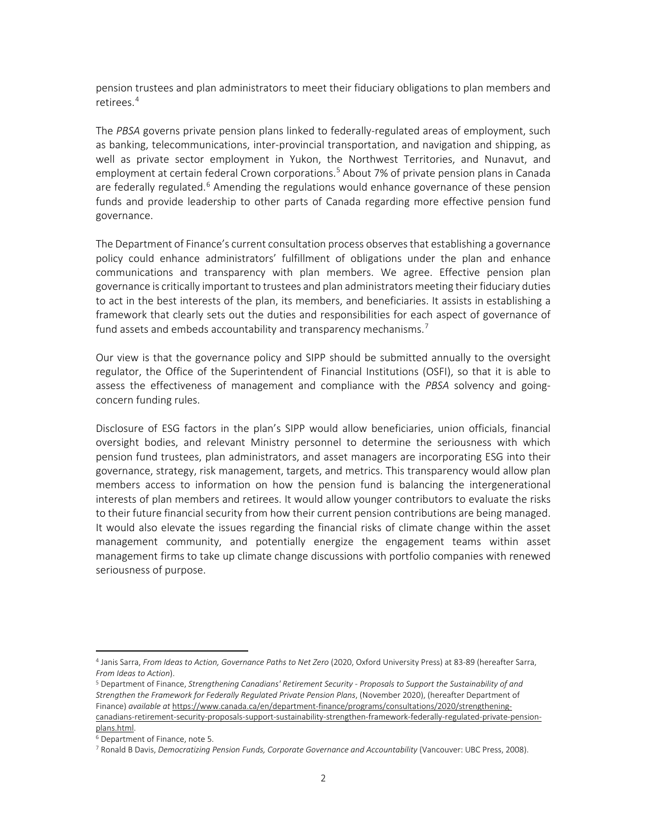pension trustees and plan administrators to meet their fiduciary obligations to plan members and retirees.[4](#page-1-0)

The *PBSA* governs private pension plans linked to federally-regulated areas of employment, such as banking, telecommunications, inter-provincial transportation, and navigation and shipping, as well as private sector employment in Yukon, the Northwest Territories, and Nunavut, and employment at certain federal Crown corporations.<sup>[5](#page-1-1)</sup> About 7% of private pension plans in Canada are federally regulated.<sup>[6](#page-1-2)</sup> Amending the regulations would enhance governance of these pension funds and provide leadership to other parts of Canada regarding more effective pension fund governance.

The Department of Finance's current consultation process observes that establishing a governance policy could enhance administrators' fulfillment of obligations under the plan and enhance communications and transparency with plan members. We agree. Effective pension plan governance is critically important to trustees and plan administrators meeting their fiduciary duties to act in the best interests of the plan, its members, and beneficiaries. It assists in establishing a framework that clearly sets out the duties and responsibilities for each aspect of governance of fund assets and embeds accountability and transparency mechanisms.<sup>[7](#page-1-3)</sup>

Our view is that the governance policy and SIPP should be submitted annually to the oversight regulator, the Office of the Superintendent of Financial Institutions (OSFI), so that it is able to assess the effectiveness of management and compliance with the *PBSA* solvency and goingconcern funding rules.

Disclosure of ESG factors in the plan's SIPP would allow beneficiaries, union officials, financial oversight bodies, and relevant Ministry personnel to determine the seriousness with which pension fund trustees, plan administrators, and asset managers are incorporating ESG into their governance, strategy, risk management, targets, and metrics. This transparency would allow plan members access to information on how the pension fund is balancing the intergenerational interests of plan members and retirees. It would allow younger contributors to evaluate the risks to their future financial security from how their current pension contributions are being managed. It would also elevate the issues regarding the financial risks of climate change within the asset management community, and potentially energize the engagement teams within asset management firms to take up climate change discussions with portfolio companies with renewed seriousness of purpose.

l

<span id="page-1-0"></span><sup>4</sup> Janis Sarra, *From Ideas to Action, Governance Paths to Net Zero* (2020, Oxford University Press) at 83-89 (hereafter Sarra, *From Ideas to Action*).

<span id="page-1-1"></span><sup>5</sup> Department of Finance, *Strengthening Canadians' Retirement Security - Proposals to Support the Sustainability of and Strengthen the Framework for Federally Regulated Private Pension Plans*, (November 2020), (hereafter Department of Finance) *available at* [https://www.canada.ca/en/department-finance/programs/consultations/2020/strengthening](https://www.canada.ca/en/department-finance/programs/consultations/2020/strengthening-canadians-retirement-security-proposals-support-sustainability-strengthen-framework-federally-regulated-private-pension-plans.html)[canadians-retirement-security-proposals-support-sustainability-strengthen-framework-federally-regulated-private-pension](https://www.canada.ca/en/department-finance/programs/consultations/2020/strengthening-canadians-retirement-security-proposals-support-sustainability-strengthen-framework-federally-regulated-private-pension-plans.html)[plans.html.](https://www.canada.ca/en/department-finance/programs/consultations/2020/strengthening-canadians-retirement-security-proposals-support-sustainability-strengthen-framework-federally-regulated-private-pension-plans.html)

<span id="page-1-2"></span><sup>6</sup> Department of Finance, note 5.

<span id="page-1-3"></span><sup>7</sup> Ronald B Davis, *Democratizing Pension Funds, Corporate Governance and Accountability* (Vancouver: UBC Press, 2008).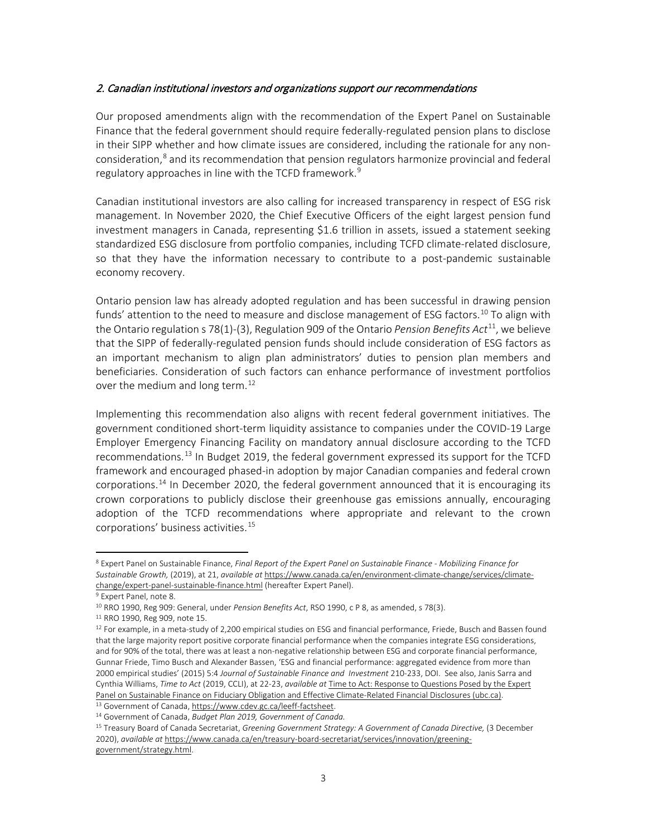### 2. Canadian institutional investors and organizations support our recommendations

Our proposed amendments align with the recommendation of the Expert Panel on Sustainable Finance that the federal government should require federally-regulated pension plans to disclose in their SIPP whether and how climate issues are considered, including the rationale for any nonconsideration, [8](#page-2-0) and its recommendation that pension regulators harmonize provincial and federal regulatory approaches in line with the TCFD framework.<sup>[9](#page-2-1)</sup>

Canadian institutional investors are also calling for increased transparency in respect of ESG risk management. In November 2020, the Chief Executive Officers of the eight largest pension fund investment managers in Canada, representing \$1.6 trillion in assets, issued a statement seeking standardized ESG disclosure from portfolio companies, including TCFD climate-related disclosure, so that they have the information necessary to contribute to a post-pandemic sustainable economy recovery.

Ontario pension law has already adopted regulation and has been successful in drawing pension funds' attention to the need to measure and disclose management of ESG factors.<sup>[10](#page-2-2)</sup> To align with the Ontario regulation s 78(1)-(3), Regulation 909 of the Ontario *Pension Benefits Act*[11](#page-2-3), we believe that the SIPP of federally-regulated pension funds should include consideration of ESG factors as an important mechanism to align plan administrators' duties to pension plan members and beneficiaries. Consideration of such factors can enhance performance of investment portfolios over the medium and long term.<sup>[12](#page-2-4)</sup>

Implementing this recommendation also aligns with recent federal government initiatives. The government conditioned short-term liquidity assistance to companies under the COVID-19 Large Employer Emergency Financing Facility on mandatory annual disclosure according to the TCFD recommendations.<sup>[13](#page-2-5)</sup> In Budget 2019, the federal government expressed its support for the TCFD framework and encouraged phased-in adoption by major Canadian companies and federal crown corporations.<sup>[14](#page-2-6)</sup> In December 2020, the federal government announced that it is encouraging its crown corporations to publicly disclose their greenhouse gas emissions annually, encouraging adoption of the TCFD recommendations where appropriate and relevant to the crown corporations' business activities.[15](#page-2-7)

l

<span id="page-2-6"></span><span id="page-2-5"></span><sup>13</sup> Government of Canada[, https://www.cdev.gc.ca/leeff-factsheet.](https://www.cdev.gc.ca/leeff-factsheet) 14 Government of Canada, *Budget Plan 2019, Government of Canada.*

<span id="page-2-0"></span><sup>8</sup> Expert Panel on Sustainable Finance, *Final Report of the Expert Panel on Sustainable Finance - Mobilizing Finance for Sustainable Growth,* (2019), at 21, *available at* [https://www.canada.ca/en/environment-climate-change/services/climate](https://www.canada.ca/en/environment-climate-change/services/climate-change/expert-panel-sustainable-finance.html)[change/expert-panel-sustainable-finance.html](https://www.canada.ca/en/environment-climate-change/services/climate-change/expert-panel-sustainable-finance.html) (hereafter Expert Panel).

<span id="page-2-1"></span><sup>9</sup> Expert Panel, note 8.

<span id="page-2-2"></span><sup>10</sup> RRO 1990, Reg 909: General, under *Pension Benefits Act*, RSO 1990, c P 8, as amended, s 78(3).

<span id="page-2-3"></span><sup>11</sup> RRO 1990, Reg 909, note 15.

<span id="page-2-4"></span><sup>&</sup>lt;sup>12</sup> For example, in a meta-study of 2,200 empirical studies on ESG and financial performance, Friede, Busch and Bassen found that the large majority report positive corporate financial performance when the companies integrate ESG considerations, and for 90% of the total, there was at least a non-negative relationship between ESG and corporate financial performance, Gunnar Friede, Timo Busch and Alexander Bassen, 'ESG and financial performance: aggregated evidence from more than 2000 empirical studies' (2015) 5:4 *Journal of Sustainable Finance and Investment* 210-233, DOI. See also, Janis Sarra and Cynthia Williams, *Time to Act* (2019, CCLI), at 22-23, *available at* [Time to Act: Response to Questions Posed by the Expert](https://commons.allard.ubc.ca/cgi/viewcontent.cgi?article=1480&context=fac_pubs)  [Panel on Sustainable Finance on Fiduciary Obligation and Effective Climate-Related Financial Disclosures \(ubc.ca\).](https://commons.allard.ubc.ca/cgi/viewcontent.cgi?article=1480&context=fac_pubs)

<span id="page-2-7"></span><sup>15</sup> Treasury Board of Canada Secretariat, *Greening Government Strategy: A Government of Canada Directive,* (3 December 2020), *available at* [https://www.canada.ca/en/treasury-board-secretariat/services/innovation/greening-](https://www.canada.ca/en/treasury-board-secretariat/services/innovation/greening-government/strategy.html)

[government/strategy.html.](https://www.canada.ca/en/treasury-board-secretariat/services/innovation/greening-government/strategy.html)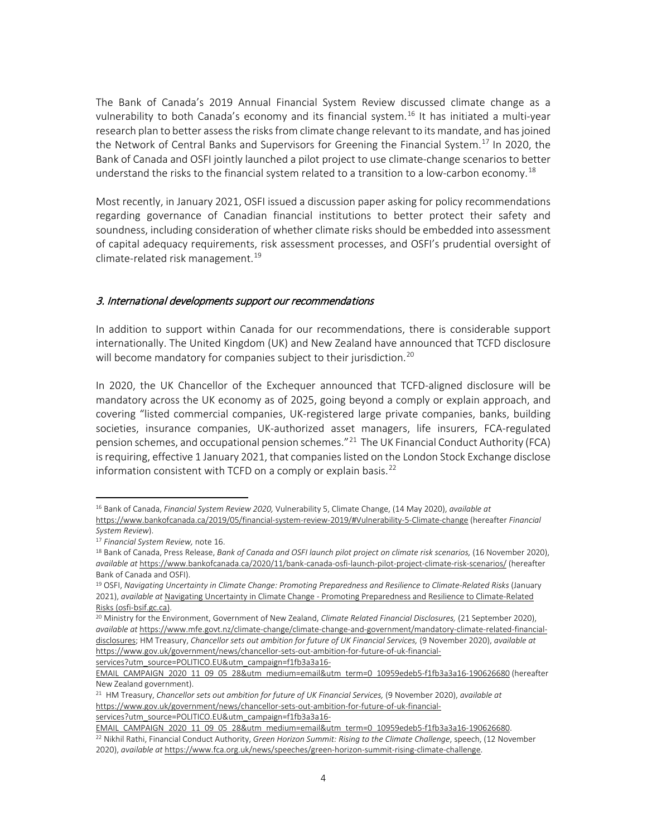The Bank of Canada's 2019 Annual Financial System Review discussed climate change as a vulnerability to both Canada's economy and its financial system.<sup>[16](#page-3-0)</sup> It has initiated a multi-year research plan to better assess the risks from climate change relevant to its mandate, and has joined the Network of Central Banks and Supervisors for Greening the Financial System.<sup>[17](#page-3-1)</sup> In 2020, the Bank of Canada and OSFI jointly launched a pilot project to use climate-change scenarios to better understand the risks to the financial system related to a transition to a low-carbon economy.<sup>[18](#page-3-2)</sup>

Most recently, in January 2021, OSFI issued a discussion paper asking for policy recommendations regarding governance of Canadian financial institutions to better protect their safety and soundness, including consideration of whether climate risks should be embedded into assessment of capital adequacy requirements, risk assessment processes, and OSFI's prudential oversight of climate-related risk management.<sup>[19](#page-3-3)</sup>

### 3. International developments support our recommendations

In addition to support within Canada for our recommendations, there is considerable support internationally. The United Kingdom (UK) and New Zealand have announced that TCFD disclosure will become mandatory for companies subject to their jurisdiction.<sup>[20](#page-3-4)</sup>

In 2020, the UK Chancellor of the Exchequer announced that TCFD-aligned disclosure will be mandatory across the UK economy as of 2025, going beyond a comply or explain approach, and covering "listed commercial companies, UK-registered large private companies, banks, building societies, insurance companies, UK-authorized asset managers, life insurers, FCA-regulated pension schemes, and occupational pension schemes."[21](#page-3-5) The UK Financial Conduct Authority (FCA) is requiring, effective 1 January 2021, that companies listed on the London Stock Exchange disclose information consistent with TCFD on a comply or explain basis. $^{22}$  $^{22}$  $^{22}$ 

 $\overline{a}$ 

[services?utm\\_source=POLITICO.EU&utm\\_campaign=f1fb3a3a16-](https://www.gov.uk/government/news/chancellor-sets-out-ambition-for-future-of-uk-financial-services?utm_source=POLITICO.EU&utm_campaign=f1fb3a3a16-EMAIL_CAMPAIGN_2020_11_09_05_28&utm_medium=email&utm_term=0_10959edeb5-f1fb3a3a16-190626680)

<span id="page-3-0"></span><sup>16</sup> Bank of Canada, *Financial System Review 2020,* Vulnerability 5, Climate Change, (14 May 2020), *available at*  <https://www.bankofcanada.ca/2019/05/financial-system-review-2019/#Vulnerability-5-Climate-change> (hereafter *Financial* 

<span id="page-3-1"></span>*System Review*). 17 *Financial System Review,* note 16.

<span id="page-3-2"></span><sup>&</sup>lt;sup>18</sup> Bank of Canada, Press Release, Bank of Canada and OSFI launch pilot project on climate risk scenarios, (16 November 2020), *available at* <https://www.bankofcanada.ca/2020/11/bank-canada-osfi-launch-pilot-project-climate-risk-scenarios/> (hereafter

<span id="page-3-3"></span>Bank of Canada and OSFI).<br><sup>19</sup> OSFI, *Navigating Uncertainty in Climate Change: Promoting Preparedness and Resilience to Climate-Related Risks (January* 2021), *available at* Navigating Uncertainty in Climate Change - [Promoting Preparedness and Resilience to Climate-Related](https://www.osfi-bsif.gc.ca/Eng/Docs/clmt-rsk.pdf)  [Risks \(osfi-bsif.gc.ca\).](https://www.osfi-bsif.gc.ca/Eng/Docs/clmt-rsk.pdf)

<span id="page-3-4"></span><sup>20</sup> Ministry for the Environment, Government of New Zealand, *Climate Related Financial Disclosures,* (21 September 2020), *available at* [https://www.mfe.govt.nz/climate-change/climate-change-and-government/mandatory-climate-related-financial](https://www.mfe.govt.nz/climate-change/climate-change-and-government/mandatory-climate-related-financial-disclosures)[disclosures;](https://www.mfe.govt.nz/climate-change/climate-change-and-government/mandatory-climate-related-financial-disclosures) HM Treasury, *Chancellor sets out ambition for future of UK Financial Services,* (9 November 2020), *available at*  [https://www.gov.uk/government/news/chancellor-sets-out-ambition-for-future-of-uk-financial-](https://www.gov.uk/government/news/chancellor-sets-out-ambition-for-future-of-uk-financial-services?utm_source=POLITICO.EU&utm_campaign=f1fb3a3a16-EMAIL_CAMPAIGN_2020_11_09_05_28&utm_medium=email&utm_term=0_10959edeb5-f1fb3a3a16-190626680)

[EMAIL\\_CAMPAIGN\\_2020\\_11\\_09\\_05\\_28&utm\\_medium=email&utm\\_term=0\\_10959edeb5-f1fb3a3a16-190626680](https://www.gov.uk/government/news/chancellor-sets-out-ambition-for-future-of-uk-financial-services?utm_source=POLITICO.EU&utm_campaign=f1fb3a3a16-EMAIL_CAMPAIGN_2020_11_09_05_28&utm_medium=email&utm_term=0_10959edeb5-f1fb3a3a16-190626680) (hereafter New Zealand government).

<span id="page-3-5"></span><sup>21</sup> HM Treasury, *Chancellor sets out ambition for future of UK Financial Services,* (9 November 2020), *available at*  [https://www.gov.uk/government/news/chancellor-sets-out-ambition-for-future-of-uk-financial](https://www.gov.uk/government/news/chancellor-sets-out-ambition-for-future-of-uk-financial-services?utm_source=POLITICO.EU&utm_campaign=f1fb3a3a16-EMAIL_CAMPAIGN_2020_11_09_05_28&utm_medium=email&utm_term=0_10959edeb5-f1fb3a3a16-190626680)[services?utm\\_source=POLITICO.EU&utm\\_campaign=f1fb3a3a16-](https://www.gov.uk/government/news/chancellor-sets-out-ambition-for-future-of-uk-financial-services?utm_source=POLITICO.EU&utm_campaign=f1fb3a3a16-EMAIL_CAMPAIGN_2020_11_09_05_28&utm_medium=email&utm_term=0_10959edeb5-f1fb3a3a16-190626680)

<span id="page-3-6"></span>[EMAIL\\_CAMPAIGN\\_2020\\_11\\_09\\_05\\_28&utm\\_medium=email&utm\\_term=0\\_10959edeb5-f1fb3a3a16-190626680.](https://www.gov.uk/government/news/chancellor-sets-out-ambition-for-future-of-uk-financial-services?utm_source=POLITICO.EU&utm_campaign=f1fb3a3a16-EMAIL_CAMPAIGN_2020_11_09_05_28&utm_medium=email&utm_term=0_10959edeb5-f1fb3a3a16-190626680) 22 Nikhil Rathi, Financial Conduct Authority, *Green Horizon Summit: Rising to the Climate Challenge*, speech, (12 November 2020), *available at* [https://www.fca.org.uk/news/speeches/green-horizon-summit-rising-climate-challenge.](https://www.fca.org.uk/news/speeches/green-horizon-summit-rising-climate-challenge)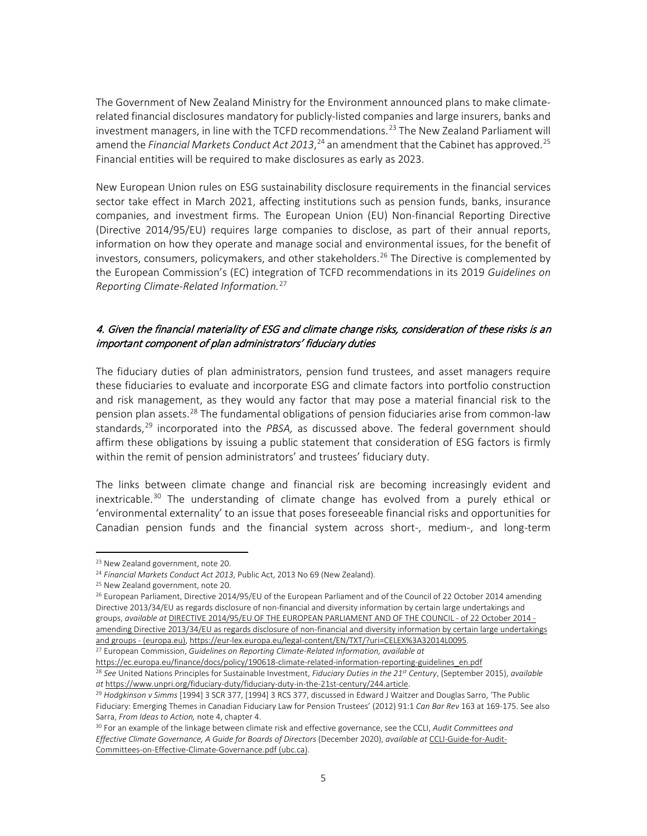The Government of New Zealand Ministry for the Environment announced plans to make climaterelated financial disclosures mandatory for publicly-listed companies and large insurers, banks and investment managers, in line with the TCFD recommendations.<sup>[23](#page-4-0)</sup> The New Zealand Parliament will amend the Financial Markets Conduct Act 2013,<sup>[24](#page-4-1)</sup> an amendment that the Cabinet has approved.<sup>[25](#page-4-2)</sup> Financial entities will be required to make disclosures as early as 2023.

New European Union rules on ESG sustainability disclosure requirements in the financial services sector take effect in March 2021, affecting institutions such as pension funds, banks, insurance companies, and investment firms. The European Union (EU) Non-financial Reporting Directive (Directive 2014/95/EU) requires large companies to disclose, as part of their annual reports, information on how they operate and manage social and environmental issues, for the benefit of investors, consumers, policymakers, and other stakeholders.<sup>[26](#page-4-3)</sup> The Directive is complemented by the European Commission's (EC) integration of TCFD recommendations in its 2019 *Guidelines on Reporting Climate-Related Information.*[27](#page-4-4)

## 4. Given the financial materiality of ESG and climate change risks, consideration of these risks is an important component of plan administrators' fiduciary duties

The fiduciary duties of plan administrators, pension fund trustees, and asset managers require these fiduciaries to evaluate and incorporate ESG and climate factors into portfolio construction and risk management, as they would any factor that may pose a material financial risk to the pension plan assets.[28](#page-4-5) The fundamental obligations of pension fiduciaries arise from common-law standards,[29](#page-4-6) incorporated into the *PBSA,* as discussed above. The federal government should affirm these obligations by issuing a public statement that consideration of ESG factors is firmly within the remit of pension administrators' and trustees' fiduciary duty.

The links between climate change and financial risk are becoming increasingly evident and inextricable.<sup>[30](#page-4-7)</sup> The understanding of climate change has evolved from a purely ethical or 'environmental externality' to an issue that poses foreseeable financial risks and opportunities for Canadian pension funds and the financial system across short-, medium-, and long-term

l

<span id="page-4-1"></span><span id="page-4-0"></span><sup>23</sup> New Zealand government, note 20.

<sup>24</sup> *Financial Markets Conduct Act 2013*, Public Act, 2013 No 69 (New Zealand).

<span id="page-4-2"></span><sup>&</sup>lt;sup>25</sup> New Zealand government, note 20.

<span id="page-4-3"></span><sup>&</sup>lt;sup>26</sup> European Parliament, Directive 2014/95/EU of the European Parliament and of the Council of 22 October 2014 amending Directive 2013/34/EU as regards disclosure of non-financial and diversity information by certain large undertakings and groups, *available at* [DIRECTIVE 2014/95/EU OF THE EUROPEAN PARLIAMENT AND OF THE COUNCIL -](https://eur-lex.europa.eu/legal-content/EN/TXT/PDF/?uri=CELEX:32014L0095&from=EN) of 22 October 2014 [amending Directive 2013/34/EU as regards disclosure of non-financial and diversity information by certain large undertakings](https://eur-lex.europa.eu/legal-content/EN/TXT/PDF/?uri=CELEX:32014L0095&from=EN)  [and groups -](https://eur-lex.europa.eu/legal-content/EN/TXT/PDF/?uri=CELEX:32014L0095&from=EN) (europa.eu)[, https://eur-lex.europa.eu/legal-content/EN/TXT/?uri=CELEX%3A32014L0095.](https://eur-lex.europa.eu/legal-content/EN/TXT/?uri=CELEX%3A32014L0095)

<span id="page-4-4"></span><sup>27</sup> European Commission, *Guidelines on Reporting Climate-Related Information, available at*

<span id="page-4-5"></span>[https://ec.europa.eu/finance/docs/policy/190618-climate-related-information-reporting-guidelines\\_en.pdf](https://ec.europa.eu/finance/docs/policy/190618-climate-related-information-reporting-guidelines_en.pdf) <sup>28</sup> *See* United Nations Principles for Sustainable Investment, *Fiduciary Duties in the 21st Century*, (September 2015), *available at* [https://www.unpri.org/fiduciary-duty/fiduciary-duty-in-the-21st-century/244.article.](https://www.unpri.org/fiduciary-duty/fiduciary-duty-in-the-21st-century/244.article) 29 *Hodgkinson v Simms* [1994] 3 SCR 377, [1994] 3 RCS 377, discussed in Edward J Waitzer and Douglas Sarro, 'The Public

<span id="page-4-6"></span>Fiduciary: Emerging Themes in Canadian Fiduciary Law for Pension Trustees' (2012) 91:1 *Can Bar Rev* 163 at 169-175. See also Sarra, *From Ideas to Action,* note 4, chapter 4.

<span id="page-4-7"></span><sup>30</sup> For an example of the linkage between climate risk and effective governance, see the CCLI, *Audit Committees and Effective Climate Governance, A Guide for Boards of Directors* (December 2020), *available at* [CCLI-Guide-for-Audit-](https://law-ccli-2019.sites.olt.ubc.ca/files/2020/12/CCLI-Guide-for-Audit-Committees-on-Effective-Climate-Governance.pdf)[Committees-on-Effective-Climate-Governance.pdf \(ubc.ca\).](https://law-ccli-2019.sites.olt.ubc.ca/files/2020/12/CCLI-Guide-for-Audit-Committees-on-Effective-Climate-Governance.pdf)